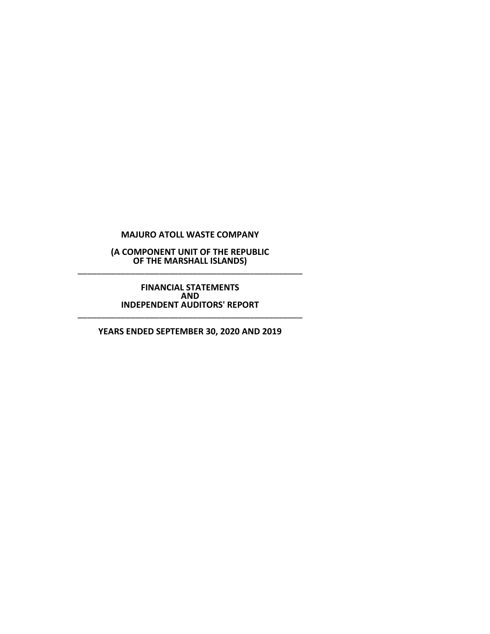## **MAJURO ATOLL WASTE COMPANY**

**(A COMPONENT UNIT OF THE REPUBLIC**  OF THE MARSHALL ISLANDS)

**FINANCIAL STATEMENTS AND INDEPENDENT AUDITORS' REPORT** \_\_\_\_\_\_\_\_\_\_\_\_\_\_\_\_\_\_\_\_\_\_\_\_\_\_\_\_\_\_\_\_\_\_\_\_\_\_\_\_\_\_\_\_\_\_\_

**YEARS ENDED SEPTEMBER 30, 2020 AND 2019**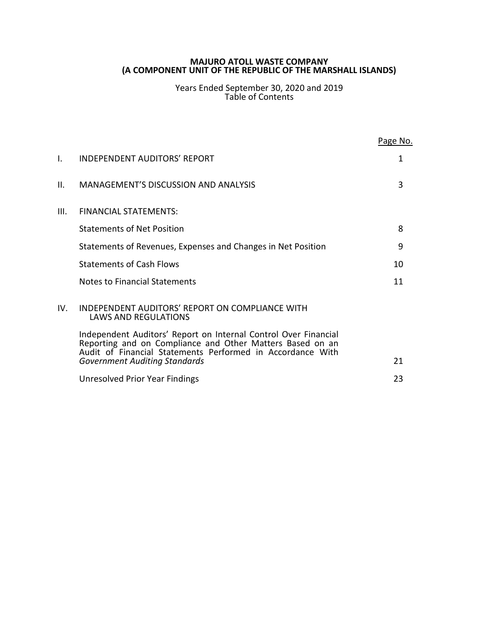## Years Ended September 30, 2020 and 2019 Table of Contents

|      |                                                                                                                                                                                            | Page No. |
|------|--------------------------------------------------------------------------------------------------------------------------------------------------------------------------------------------|----------|
| I.   | <b>INDEPENDENT AUDITORS' REPORT</b>                                                                                                                                                        | 1        |
| II.  | <b>MANAGEMENT'S DISCUSSION AND ANALYSIS</b>                                                                                                                                                | 3        |
| III. | <b>FINANCIAL STATEMENTS:</b>                                                                                                                                                               |          |
|      | <b>Statements of Net Position</b>                                                                                                                                                          | 8        |
|      | Statements of Revenues, Expenses and Changes in Net Position                                                                                                                               | 9        |
|      | <b>Statements of Cash Flows</b>                                                                                                                                                            | 10       |
|      | <b>Notes to Financial Statements</b>                                                                                                                                                       | 11       |
| IV.  | INDEPENDENT AUDITORS' REPORT ON COMPLIANCE WITH<br>LAWS AND REGULATIONS                                                                                                                    |          |
|      | Independent Auditors' Report on Internal Control Over Financial<br>Reporting and on Compliance and Other Matters Based on an<br>Audit of Financial Statements Performed in Accordance With |          |
|      | <b>Government Auditing Standards</b>                                                                                                                                                       | 21       |
|      | Unresolved Prior Year Findings                                                                                                                                                             | 23       |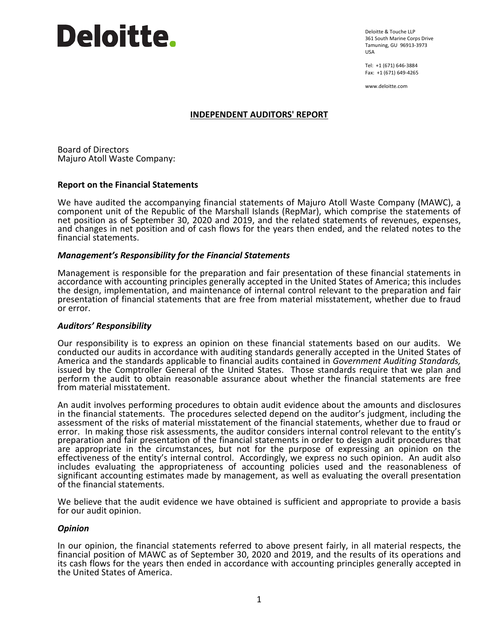# Deloitte.

Deloitte & Touche LLP 361 South Marine Corps Drive Tamuning, GU 96913-3973 USA

Tel: +1 (671) 646-3884 Fax: +1 (671) 649-4265

www.deloitte.com

# **INDEPENDENT AUDITORS' REPORT**

Board of Directors Majuro Atoll Waste Company:

# **Report on the Financial Statements**

We have audited the accompanying financial statements of Majuro Atoll Waste Company (MAWC), a component unit of the Republic of the Marshall Islands (RepMar), which comprise the statements of net position as of September 30, 2020 and 2019, and the related statements of revenues, expenses, and changes in net position and of cash flows for the years then ended, and the related notes to the financial statements.

# *Management's Responsibility for the Financial Statements*

Management is responsible for the preparation and fair presentation of these financial statements in accordance with accounting principles generally accepted in the United States of America; this includes the design, implementation, and maintenance of internal control relevant to the preparation and fair presentation of financial statements that are free from material misstatement, whether due to fraud or error.

# *Auditors' Responsibility*

Our responsibility is to express an opinion on these financial statements based on our audits. We conducted our audits in accordance with auditing standards generally accepted in the United States of America and the standards applicable to financial audits contained in *Government Auditing Standards,* issued by the Comptroller General of the United States. Those standards require that we plan and perform the audit to obtain reasonable assurance about whether the financial statements are free from material misstatement.

An audit involves performing procedures to obtain audit evidence about the amounts and disclosures in the financial statements. The procedures selected depend on the auditor's judgment, including the assessment of the risks of material misstatement of the financial statements, whether due to fraud or error. In making those risk assessments, the auditor considers internal control relevant to the entity's preparation and fair presentation of the financial statements in order to design audit procedures that are appropriate in the circumstances, but not for the purpose of expressing an opinion on the effectiveness of the entity's internal control. Accordingly, we express no such opinion. An audit also includes evaluating the appropriateness of accounting policies used and the reasonableness of significant accounting estimates made by management, as well as evaluating the overall presentation of the financial statements.

We believe that the audit evidence we have obtained is sufficient and appropriate to provide a basis for our audit opinion.

# *Opinion*

In our opinion, the financial statements referred to above present fairly, in all material respects, the financial position of MAWC as of September 30, 2020 and 2019, and the results of its operations and its cash flows for the years then ended in accordance with accounting principles generally accepted in the United States of America.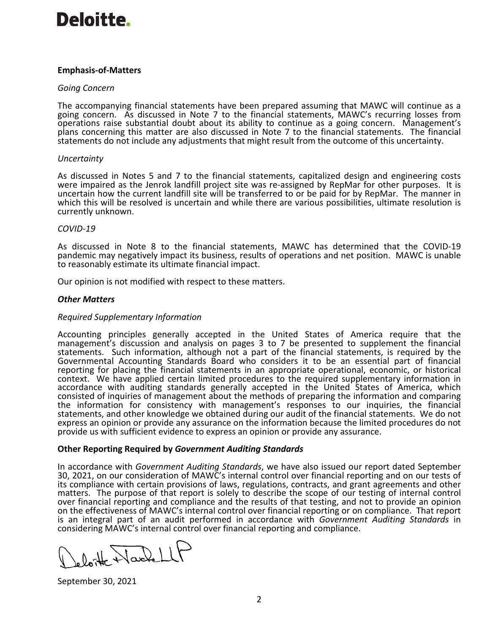

# **Emphasis-of-Matters**

## *Going Concern*

The accompanying financial statements have been prepared assuming that MAWC will continue as a going concern. As discussed in Note 7 to the financial statements, MAWC's recurring losses from operations raise substantial doubt about its ability to continue as a going concern. Management's plans concerning this matter are also discussed in Note 7 to the financial statements. The financial statements do not include any adjustments that might result from the outcome of this uncertainty.

## *Uncertainty*

As discussed in Notes 5 and 7 to the financial statements, capitalized design and engineering costs were impaired as the Jenrok landfill project site was re-assigned by RepMar for other purposes. It is uncertain how the current landfill site will be transferred to or be paid for by RepMar. The manner in which this will be resolved is uncertain and while there are various possibilities, ultimate resolution is currently unknown.

## *COVID-19*

As discussed in Note 8 to the financial statements, MAWC has determined that the COVID-19 pandemic may negatively impact its business, results of operations and net position. MAWC is unable to reasonably estimate its ultimate financial impact.

Our opinion is not modified with respect to these matters.

# *Other Matters*

# *Required Supplementary Information*

Accounting principles generally accepted in the United States of America require that the management's discussion and analysis on pages 3 to 7 be presented to supplement the financial statements. Such information, although not a part of the financial statements, is required by the Governmental Accounting Standards Board who considers it to be an essential part of financial reporting for placing the financial statements in an appropriate operational, economic, or historical context. We have applied certain limited procedures to the required supplementary information in accordance with auditing standards generally accepted in the United States of America, which consisted of inquiries of management about the methods of preparing the information and comparing the information for consistency with management's responses to our inquiries, the financial statements, and other knowledge we obtained during our audit of the financial statements. We do not express an opinion or provide any assurance on the information because the limited procedures do not provide us with sufficient evidence to express an opinion or provide any assurance.

## **Other Reporting Required by** *Government Auditing Standards*

In accordance with *Government Auditing Standards*, we have also issued our report dated September 30, 2021, on our consideration of MAWC's internal control over financial reporting and on our tests of its compliance with certain provisions of laws, regulations, contracts, and grant agreements and other matters. The purpose of that report is solely to describe the scope of our testing of internal control over financial reporting and compliance and the results of that testing, and not to provide an opinion on the effectiveness of MAWC's internal control over financial reporting or on compliance. That report is an integral part of an audit performed in accordance with *Government Auditing Standards* in considering MAWC's internal control over financial reporting and compliance.

loite Naskell

September 30, 2021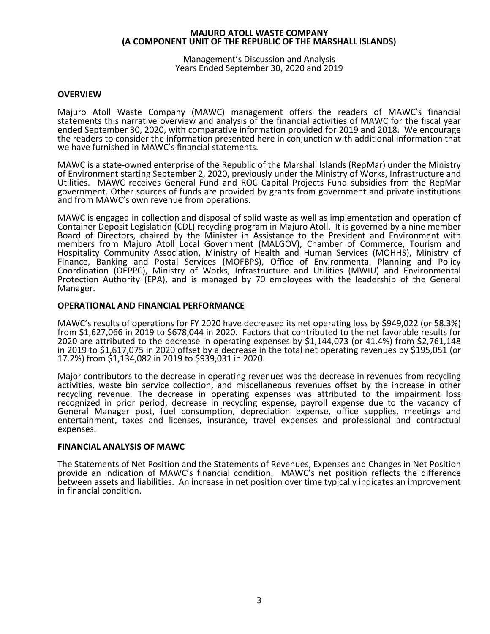Management's Discussion and Analysis Years Ended September 30, 2020 and 2019

## **OVERVIEW**

Majuro Atoll Waste Company (MAWC) management offers the readers of MAWC's financial statements this narrative overview and analysis of the financial activities of MAWC for the fiscal year ended September 30, 2020, with comparative information provided for 2019 and 2018. We encourage the readers to consider the information presented here in conjunction with additional information that we have furnished in MAWC's financial statements.

MAWC is a state-owned enterprise of the Republic of the Marshall Islands (RepMar) under the Ministry of Environment starting September 2, 2020, previously under the Ministry of Works, Infrastructure and Utilities. MAWC receives General Fund and ROC Capital Projects Fund subsidies from the RepMar government. Other sources of funds are provided by grants from government and private institutions and from MAWC's own revenue from operations.

MAWC is engaged in collection and disposal of solid waste as well as implementation and operation of Container Deposit Legislation (CDL) recycling program in Majuro Atoll. It is governed by a nine member Board of Directors, chaired by the Minister in Assistance to the President and Environment with members from Majuro Atoll Local Government (MALGOV), Chamber of Commerce, Tourism and Hospitality Community Association, Ministry of Health and Human Services (MOHHS), Ministry of Finance, Banking and Postal Services (MOFBPS), Office of Environmental Planning and Policy Coordination (OEPPC), Ministry of Works, Infrastructure and Utilities (MWIU) and Environmental Protection Authority (EPA), and is managed by 70 employees with the leadership of the General Manager.

## **OPERATIONAL AND FINANCIAL PERFORMANCE**

MAWC's results of operations for FY 2020 have decreased its net operating loss by \$949,022 (or 58.3%) from \$1,627,066 in 2019 to \$678,044 in 2020. Factors that contributed to the net favorable results for 2020 are attributed to the decrease in operating expenses by \$1,144,073 (or 41.4%) from \$2,761,148 in 2019 to \$1,617,075 in 2020 offset by a decrease in the total net operating revenues by \$195,051 (or 17.2%) from \$1,134,082 in 2019 to \$939,031 in 2020.

Major contributors to the decrease in operating revenues was the decrease in revenues from recycling activities, waste bin service collection, and miscellaneous revenues offset by the increase in other recycling revenue. The decrease in operating expenses was attributed to the impairment loss recognized in prior period, decrease in recycling expense, payroll expense due to the vacancy of General Manager post, fuel consumption, depreciation expense, office supplies, meetings and entertainment, taxes and licenses, insurance, travel expenses and professional and contractual expenses.

## **FINANCIAL ANALYSIS OF MAWC**

The Statements of Net Position and the Statements of Revenues, Expenses and Changes in Net Position provide an indication of MAWC's financial condition. MAWC's net position reflects the difference between assets and liabilities. An increase in net position over time typically indicates an improvement in financial condition.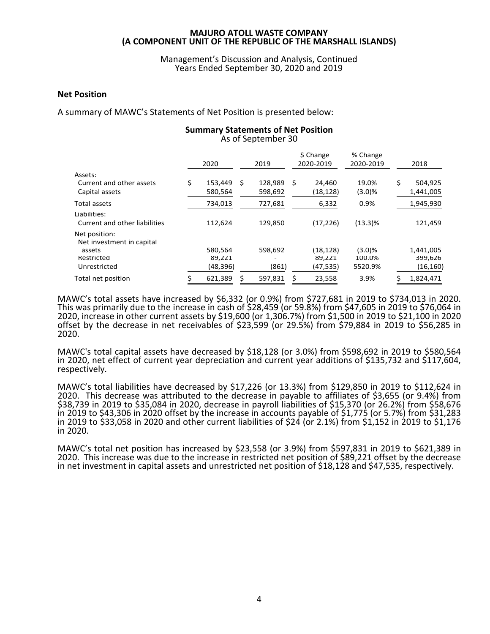#### Management's Discussion and Analysis, Continued Years Ended September 30, 2020 and 2019

**Summary Statements of Net Position**

## **Net Position**

A summary of MAWC's Statements of Net Position is presented below:

|                                                                                    |    |                                |    | As of September 30 |   |                                 |                                |    |                                  |
|------------------------------------------------------------------------------------|----|--------------------------------|----|--------------------|---|---------------------------------|--------------------------------|----|----------------------------------|
|                                                                                    |    | 2020                           |    | 2019               |   | S Change<br>2020-2019           | % Change<br>2020-2019          |    | 2018                             |
| Assets:<br>Current and other assets<br>Capital assets                              | S  | 153,449<br>580,564             | S  | 128,989<br>598,692 | S | 24,460<br>(18,128)              | 19.0%<br>(3.0)%                | S  | 504,925<br>1,441,005             |
| Total assets                                                                       |    | 734,013                        |    | 727,681            |   | 6,332                           | 0.9%                           |    | 1,945,930                        |
| Liabilities:<br>Current and other liabilities                                      |    | 112,624                        |    | 129,850            |   | (17,226)                        | $(13.3)\%$                     |    | 121,459                          |
| Net position:<br>Net investment in capital<br>assets<br>Restricted<br>Unrestricted |    | 580,564<br>89,221<br>(48, 396) |    | 598,692<br>(861)   |   | (18, 128)<br>89,221<br>(47,535) | $(3.0)\%$<br>100.0%<br>5520.9% |    | 1,441,005<br>399,626<br>(16,160) |
| Total net position                                                                 | \$ | 621,389                        | \$ | 597,831            | Ŝ | 23,558                          | 3.9%                           | \$ | 1,824,471                        |

MAWC's total assets have increased by \$6,332 (or 0.9%) from \$727,681 in 2019 to \$734,013 in 2020. This was primarily due to the increase in cash of \$28,459 (or 59.8%) from \$47,605 in 2019 to \$76,064 in 2020, increase in other current assets by \$19,600 (or 1,306.7%) from \$1,500 in 2019 to \$21,100 in 2020 offset by the decrease in net receivables of \$23,599 (or 29.5%) from \$79,884 in 2019 to \$56,285 in 2020.

MAWC's total capital assets have decreased by \$18,128 (or 3.0%) from \$598,692 in 2019 to \$580,564 in 2020, net effect of current year depreciation and current year additions of \$135,732 and \$117,604, respectively.

MAWC's total liabilities have decreased by \$17,226 (or 13.3%) from \$129,850 in 2019 to \$112,624 in 2020. This decrease was attributed to the decrease in payable to affiliates of \$3,655 (or 9.4%) from \$38,739 in 2019 to \$35,084 in 2020, decrease in payroll liabilities of \$15,370 (or 26.2%) from \$58,676 in 2019 to \$43,306 in 2020 offset by the increase in accounts payable of \$1,775 (or 5.7%) from \$31,283 in 2019 to \$33,058 in 2020 and other current liabilities of \$24 (or 2.1%) from \$1,152 in 2019 to \$1,176 in 2020.

MAWC's total net position has increased by \$23,558 (or 3.9%) from \$597,831 in 2019 to \$621,389 in 2020. This increase was due to the increase in restricted net position of \$89,221 offset by the decrease in net investment in capital assets and unrestricted net position of \$18,128 and \$47,535, respectively.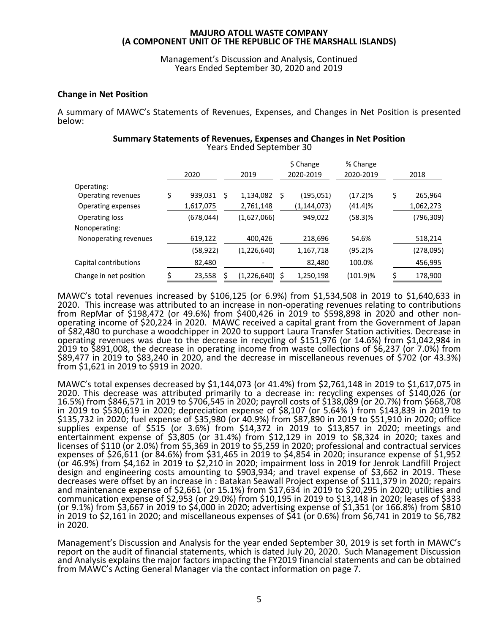Management's Discussion and Analysis, Continued Years Ended September 30, 2020 and 2019

# **Change in Net Position**

A summary of MAWC's Statements of Revenues, Expenses, and Changes in Net Position is presented below:

| Summary Statements of Revenues, Expenses and Changes in Net Position |
|----------------------------------------------------------------------|
| Years Ended September 30                                             |

|                        |            |     |               |     | \$ Change     | % Change    |   |            |
|------------------------|------------|-----|---------------|-----|---------------|-------------|---|------------|
|                        | 2020       |     | 2019          |     | 2020-2019     | 2020-2019   |   | 2018       |
| Operating:             |            |     |               |     |               |             |   |            |
| Operating revenues     | 939,031    | \$. | 1,134,082     | \$. | (195, 051)    | $(17.2)\%$  | Ş | 265,964    |
| Operating expenses     | 1,617,075  |     | 2,761,148     |     | (1, 144, 073) | (41.4)%     |   | 1,062,273  |
| Operating loss         | (678, 044) |     | (1,627,066)   |     | 949,022       | $(58.3)\%$  |   | (796,309)  |
| Nonoperating:          |            |     |               |     |               |             |   |            |
| Nonoperating revenues  | 619,122    |     | 400,426       |     | 218,696       | 54.6%       |   | 518,214    |
|                        | (58, 922)  |     | (1, 226, 640) |     | 1,167,718     | (95.2)%     |   | (278, 095) |
| Capital contributions  | 82,480     |     |               |     | 82,480        | 100.0%      |   | 456,995    |
| Change in net position | 23,558     |     | (1,226,640)   | \$  | 1,250,198     | $(101.9)\%$ |   | 178,900    |

MAWC's total revenues increased by \$106,125 (or 6.9%) from \$1,534,508 in 2019 to \$1,640,633 in 2020. This increase was attributed to an increase in non-operating revenues relating to contributions from RepMar of \$198,472 (or 49.6%) from \$400,426 in 2019 to \$598,898 in 2020 and other non-<br>operating income of \$20,224 in 2020. MAWC received a capital grant from the Government of Japan of \$82,480 to purchase a woodchipper in 2020 to support Laura Transfer Station activities. Decrease in operating revenues was due to the decrease in recycling of \$151,976 (or 14.6%) from \$1,042,984 in 2019 to \$891,008, the decrease in operating income from waste collections of \$6,237 (or 7.0%) from \$89,477 in 2019 to \$83,240 in 2020, and the decrease in miscellaneous revenues of \$702 (or 43.3%) from \$1,621 in 2019 to \$919 in 2020.

MAWC's total expenses decreased by \$1,144,073 (or 41.4%) from \$2,761,148 in 2019 to \$1,617,075 in 2020. This decrease was attributed primarily to a decrease in: recycling expenses of \$140,026 (or 16.5%) from \$846,571 in 2019 to \$706,545 in 2020; payroll costs of \$138,089 (or 20.7%) from \$668,708 in 2019 to \$530,619 in 2020; depreciation expense of \$8,107 (or 5.64% ) from \$143,839 in 2019 to \$135,732 in 2020; fuel expense of \$35,980 (or 40.9%) from \$87,890 in 2019 to \$51,910 in 2020; office supplies expense of \$515 (or 3.6%) from \$14,372 in 2019 to \$13,857 in 2020; meetings and entertainment expense of \$3,805 (or 31.4%) from \$12,129 in 2019 to \$8,324 in 2020; taxes and licenses of \$110 (or 2.0%) from \$5,369 in 2019 to \$5,259 in 2020; professional and contractual services expenses of \$26,611 (or 84.6%) from \$31,465 in 2019 to \$4,854 in 2020; insurance expense of \$1,952 (or 46.9%) from \$4,162 in 2019 to \$2,210 in 2020; impairment loss in 2019 for Jenrok Landfill Project design and engineering costs amounting to \$903,934; and travel expense of \$3,662 in 2019. These decreases were offset by an increase in : Batakan Seawall Project expense of \$111,379 in 2020; repairs and maintenance expense of \$2,661 (or 15.1%) from \$17,634 in 2019 to \$20,295 in 2020; utilities and communication expense of \$2,953 (or 29.0%) from \$10,195 in 2019 to \$13,148 in 2020; leases of \$333 (or 9.1%) from \$3,667 in 2019 to \$4,000 in 2020; advertising expense of \$1,351 (or 166.8%) from \$810 in 2019 to \$2,161 in 2020; and miscellaneous expenses of \$41 (or 0.6%) from \$6,741 in 2019 to \$6,782 in 2020.

Management's Discussion and Analysis for the year ended September 30, 2019 is set forth in MAWC's report on the audit of financial statements, which is dated July 20, 2020. Such Management Discussion and Analysis explains the major factors impacting the FY2019 financial statements and can be obtained from MAWC's Acting General Manager via the contact information on page 7.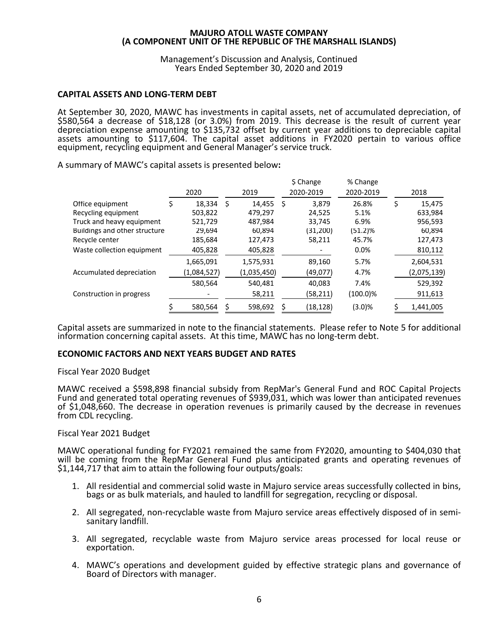#### Management's Discussion and Analysis, Continued Years Ended September 30, 2020 and 2019

# **CAPITAL ASSETS AND LONG-TERM DEBT**

At September 30, 2020, MAWC has investments in capital assets, net of accumulated depreciation, of \$580,564 a decrease of \$18,128 (or 3.0%) from 2019. This decrease is the result of current year depreciation expense amount assets amounting to \$117,604. The capital asset additions in FY2020 pertain to various office equipment, recycling equipment and General Manager's service truck.

A summary of MAWC's capital assets is presented below**:**

|                               |   |             |             |   | S Change  | % Change   |   |             |
|-------------------------------|---|-------------|-------------|---|-----------|------------|---|-------------|
|                               |   | 2020        | 2019        |   | 2020-2019 | 2020-2019  |   | 2018        |
| Office equipment              | S | 18,334 \$   | 14.455      | S | 3.879     | 26.8%      | S | 15,475      |
| Recycling equipment           |   | 503,822     | 479,297     |   | 24,525    | 5.1%       |   | 633,984     |
| Truck and heavy equipment     |   | 521,729     | 487,984     |   | 33,745    | 6.9%       |   | 956,593     |
| Buildings and other structure |   | 29,694      | 60,894      |   | (31,200)  | $(51.2)\%$ |   | 60,894      |
| Recycle center                |   | 185,684     | 127,473     |   | 58,211    | 45.7%      |   | 127,473     |
| Waste collection equipment    |   | 405,828     | 405,828     |   |           | 0.0%       |   | 810,112     |
|                               |   | 1,665,091   | 1,575,931   |   | 89,160    | 5.7%       |   | 2,604,531   |
| Accumulated depreciation      |   | (1,084,527) | (1,035,450) |   | (49,077)  | 4.7%       |   | (2,075,139) |
|                               |   | 580,564     | 540,481     |   | 40.083    | 7.4%       |   | 529,392     |
| Construction in progress      |   |             | 58,211      |   | (58, 211) | (100.0)%   |   | 911,613     |
|                               |   | 580,564     | 598,692     |   | (18,128)  | (3.0)%     |   | 1,441,005   |

Capital assets are summarized in note to the financial statements. Please refer to Note 5 for additional information concerning capital assets. At this time, MAWC has no long-term debt.

# **ECONOMIC FACTORS AND NEXT YEARS BUDGET AND RATES**

# Fiscal Year 2020 Budget

MAWC received a \$598,898 financial subsidy from RepMar's General Fund and ROC Capital Projects Fund and generated total operating revenues of \$939,031, which was lower than anticipated revenues of \$1,048,660. The decrease in operation revenues is primarily caused by the decrease in revenues from CDL recycling.

# Fiscal Year 2021 Budget

MAWC operational funding for FY2021 remained the same from FY2020, amounting to \$404,030 that will be coming from the RepMar General Fund plus anticipated grants and operating revenues of \$1,144,717 that aim to attain the following four outputs/goals:

- 1. All residential and commercial solid waste in Majuro service areas successfully collected in bins, bags or as bulk materials, and hauled to landfill for segregation, recycling or disposal.
- 2. All segregated, non-recyclable waste from Majuro service areas effectively disposed of in semi-<br>sanitary landfill.
- 3. All segregated, recyclable waste from Majuro service areas processed for local reuse or exportation.
- 4. MAWC's operations and development guided by effective strategic plans and governance of Board of Directors with manager.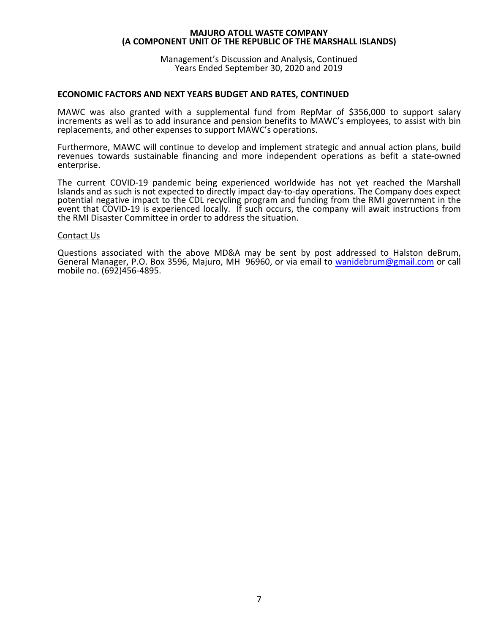Management's Discussion and Analysis, Continued Years Ended September 30, 2020 and 2019

## **ECONOMIC FACTORS AND NEXT YEARS BUDGET AND RATES, CONTINUED**

MAWC was also granted with a supplemental fund from RepMar of \$356,000 to support salary increments as well as to add insurance and pension benefits to MAWC's employees, to assist with bin replacements, and other expenses to support MAWC's operations.

Furthermore, MAWC will continue to develop and implement strategic and annual action plans, build revenues towards sustainable financing and more independent operations as befit a state-owned enterprise.

The current COVID-19 pandemic being experienced worldwide has not yet reached the Marshall Islands and as such is not expected to directly impact day-to-day operations. The Company does expect potential negative impact to the CDL recycling program and funding from the RMI government in the event that COVID-19 is experienced locally. If such occurs, the company will await instructions from the RMI Disaster Committee in order to address the situation.

## Contact Us

Questions associated with the above MD&A may be sent by post addressed to Halston [de](mailto:wanidebrum@gmail.com)Brum, General Manager, P.O. Box 3596, Majuro, MH 96960, or via email to wanidebrum@gmail.com or call mobile no. (692)456-4895.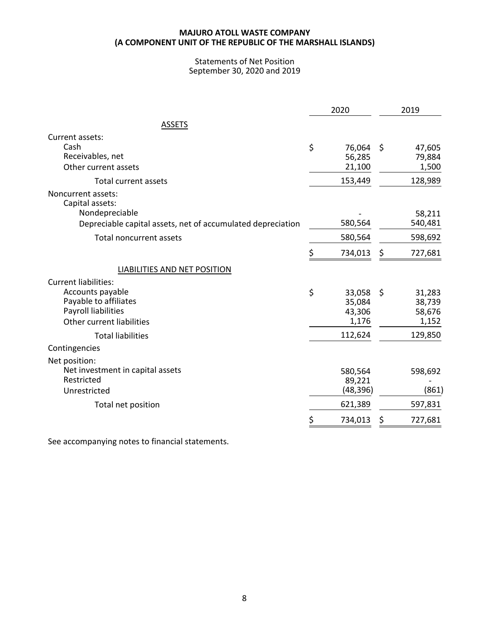# Statements of Net Position September 30, 2020 and 2019

|                                                                                                                              | 2020                                      |     | 2019                                |
|------------------------------------------------------------------------------------------------------------------------------|-------------------------------------------|-----|-------------------------------------|
| <b>ASSETS</b>                                                                                                                |                                           |     |                                     |
| Current assets:<br>Cash<br>Receivables, net<br>Other current assets                                                          | \$<br>76,064<br>56,285<br>21,100          | \$  | 47,605<br>79,884<br>1,500           |
| <b>Total current assets</b>                                                                                                  | 153,449                                   |     | 128,989                             |
| Noncurrent assets:<br>Capital assets:<br>Nondepreciable<br>Depreciable capital assets, net of accumulated depreciation       | 580,564                                   |     | 58,211<br>540,481                   |
| <b>Total noncurrent assets</b>                                                                                               | 580,564                                   |     | 598,692                             |
|                                                                                                                              | \$<br>734,013                             | \$  | 727,681                             |
| LIABILITIES AND NET POSITION                                                                                                 |                                           |     |                                     |
| <b>Current liabilities:</b><br>Accounts payable<br>Payable to affiliates<br>Payroll liabilities<br>Other current liabilities | \$<br>33,058<br>35,084<br>43,306<br>1,176 | -\$ | 31,283<br>38,739<br>58,676<br>1,152 |
| <b>Total liabilities</b>                                                                                                     | 112,624                                   |     | 129,850                             |
| Contingencies                                                                                                                |                                           |     |                                     |
| Net position:<br>Net investment in capital assets<br>Restricted<br>Unrestricted                                              | 580,564<br>89,221<br>(48, 396)            |     | 598,692<br>(861)                    |
| Total net position                                                                                                           | 621,389                                   |     | 597,831                             |
|                                                                                                                              | \$<br>734,013                             | \$  | 727,681                             |

See accompanying notes to financial statements.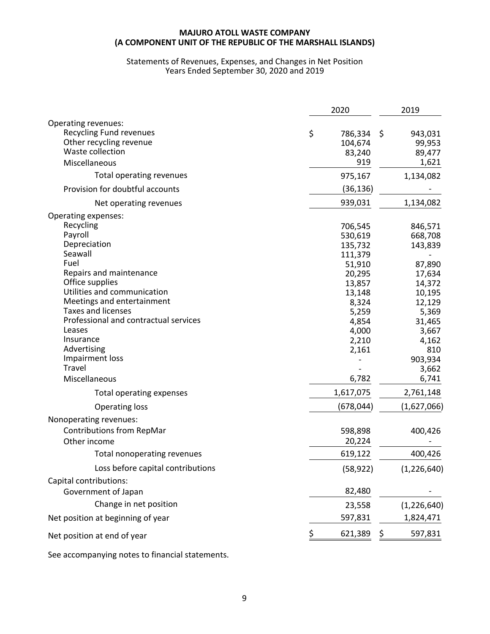# Statements of Revenues, Expenses, and Changes in Net Position Years Ended September 30, 2020 and 2019

|                                                                                                                                                                                                                                                                                                                                    | 2020                                                                                                                                   | 2019                                                                                                                                            |
|------------------------------------------------------------------------------------------------------------------------------------------------------------------------------------------------------------------------------------------------------------------------------------------------------------------------------------|----------------------------------------------------------------------------------------------------------------------------------------|-------------------------------------------------------------------------------------------------------------------------------------------------|
| Operating revenues:<br><b>Recycling Fund revenues</b><br>Other recycling revenue<br>Waste collection<br>Miscellaneous                                                                                                                                                                                                              | \$<br>786,334<br>104,674<br>83,240<br>919                                                                                              | \$<br>943,031<br>99,953<br>89,477<br>1,621                                                                                                      |
| Total operating revenues                                                                                                                                                                                                                                                                                                           | 975,167                                                                                                                                | 1,134,082                                                                                                                                       |
| Provision for doubtful accounts                                                                                                                                                                                                                                                                                                    | (36, 136)                                                                                                                              |                                                                                                                                                 |
| Net operating revenues                                                                                                                                                                                                                                                                                                             | 939,031                                                                                                                                | 1,134,082                                                                                                                                       |
| Operating expenses:<br>Recycling<br>Payroll<br>Depreciation<br>Seawall<br>Fuel<br>Repairs and maintenance<br>Office supplies<br>Utilities and communication<br>Meetings and entertainment<br><b>Taxes and licenses</b><br>Professional and contractual services<br>Leases<br>Insurance<br>Advertising<br>Impairment loss<br>Travel | 706,545<br>530,619<br>135,732<br>111,379<br>51,910<br>20,295<br>13,857<br>13,148<br>8,324<br>5,259<br>4,854<br>4,000<br>2,210<br>2,161 | 846,571<br>668,708<br>143,839<br>87,890<br>17,634<br>14,372<br>10,195<br>12,129<br>5,369<br>31,465<br>3,667<br>4,162<br>810<br>903,934<br>3,662 |
| Miscellaneous                                                                                                                                                                                                                                                                                                                      | 6,782                                                                                                                                  | 6,741                                                                                                                                           |
| Total operating expenses<br><b>Operating loss</b>                                                                                                                                                                                                                                                                                  | 1,617,075<br>(678, 044)                                                                                                                | 2,761,148<br>(1,627,066)                                                                                                                        |
| Nonoperating revenues:<br>Contributions from RepMar<br>Other income<br>Total nonoperating revenues<br>Loss before capital contributions                                                                                                                                                                                            | 598,898<br>20,224<br>619,122<br>(58, 922)                                                                                              | 400,426<br>400,426<br>(1, 226, 640)                                                                                                             |
| Capital contributions:<br>Government of Japan<br>Change in net position                                                                                                                                                                                                                                                            | 82,480<br>23,558                                                                                                                       | (1, 226, 640)                                                                                                                                   |
| Net position at beginning of year                                                                                                                                                                                                                                                                                                  | 597,831                                                                                                                                | 1,824,471                                                                                                                                       |
| Net position at end of year                                                                                                                                                                                                                                                                                                        | \$<br>621,389                                                                                                                          | \$<br>597,831                                                                                                                                   |

See accompanying notes to financial statements.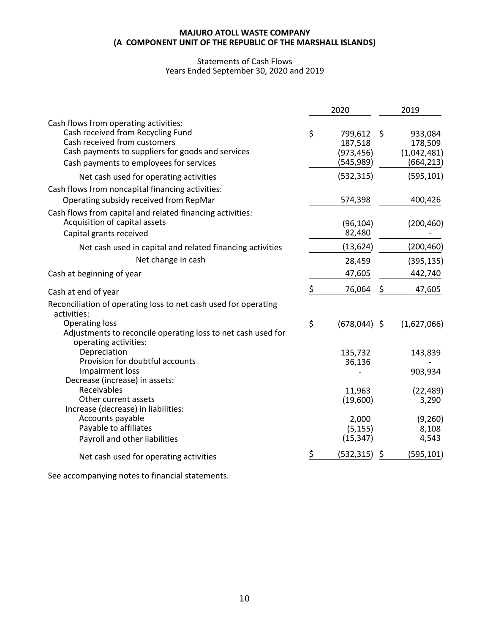# Statements of Cash Flows Years Ended September 30, 2020 and 2019

|                                                                                                                                                                                                            |    | 2020                                          | 2019 |                                                 |  |
|------------------------------------------------------------------------------------------------------------------------------------------------------------------------------------------------------------|----|-----------------------------------------------|------|-------------------------------------------------|--|
| Cash flows from operating activities:<br>Cash received from Recycling Fund<br>Cash received from customers<br>Cash payments to suppliers for goods and services<br>Cash payments to employees for services | \$ | 799,612<br>187,518<br>(973, 456)<br>(545,989) | \$   | 933,084<br>178,509<br>(1,042,481)<br>(664, 213) |  |
| Net cash used for operating activities                                                                                                                                                                     |    | (532, 315)                                    |      | (595, 101)                                      |  |
| Cash flows from noncapital financing activities:<br>Operating subsidy received from RepMar                                                                                                                 |    | 574,398                                       |      | 400,426                                         |  |
| Cash flows from capital and related financing activities:<br>Acquisition of capital assets<br>Capital grants received                                                                                      |    | (96, 104)<br>82,480                           |      | (200, 460)                                      |  |
| Net cash used in capital and related financing activities                                                                                                                                                  |    | (13, 624)                                     |      | (200, 460)                                      |  |
| Net change in cash                                                                                                                                                                                         |    | 28,459                                        |      | (395, 135)                                      |  |
| Cash at beginning of year                                                                                                                                                                                  |    | 47,605                                        |      | 442,740                                         |  |
| Cash at end of year                                                                                                                                                                                        | \$ | 76,064                                        | \$   | 47,605                                          |  |
| Reconciliation of operating loss to net cash used for operating<br>activities:<br><b>Operating loss</b><br>Adjustments to reconcile operating loss to net cash used for                                    | \$ | $(678, 044)$ \$                               |      | (1,627,066)                                     |  |
| operating activities:<br>Depreciation<br>Provision for doubtful accounts<br>Impairment loss                                                                                                                |    | 135,732<br>36,136                             |      | 143,839<br>903,934                              |  |
| Decrease (increase) in assets:<br>Receivables<br>Other current assets<br>Increase (decrease) in liabilities:<br>Accounts payable                                                                           |    | 11,963<br>(19,600)<br>2,000                   |      | (22, 489)<br>3,290                              |  |
| Payable to affiliates<br>Payroll and other liabilities                                                                                                                                                     |    | (5, 155)<br>(15, 347)                         |      | (9,260)<br>8,108<br>4,543                       |  |
| Net cash used for operating activities                                                                                                                                                                     | \$ | (532, 315)                                    | \$   | (595, 101)                                      |  |

See accompanying notes to financial statements.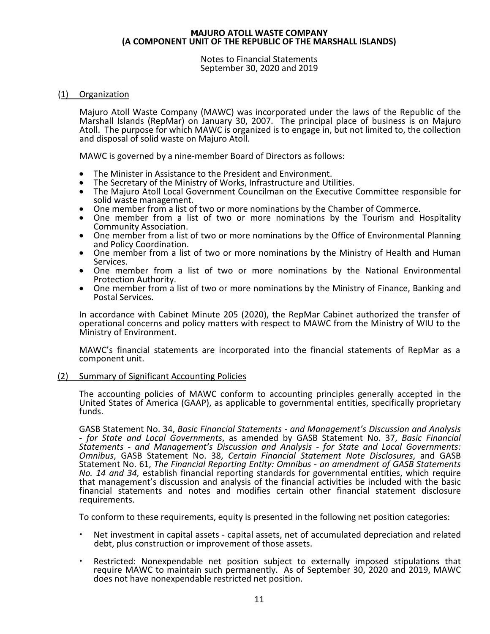Notes to Financial Statements September 30, 2020 and 2019

## (1) Organization

Majuro Atoll Waste Company (MAWC) was incorporated under the laws of the Republic of the Marshall Islands (RepMar) on January 30, 2007. The principal place of business is on Majuro Atoll. The purpose for which MAWC is organized is to engage in, but not limited to, the collection and disposal of solid waste on Majuro Atoll.

MAWC is governed by a nine-member Board of Directors as follows:

- 
- 
- The Minister in Assistance to the President and Environment.<br>• The Secretary of the Ministry of Works, Infrastructure and Utilities.<br>• The Majuro Atoll Local Government Councilman on the Executive Committee responsible f
- 
- One member from a list of two or more nominations by the Chamber of Commerce.<br>One member from a list of two or more nominations by the Tourism and Hospitality<br>Community Association.
- One member from a list of two or more nominations by the Office of Environmental Planning and Policy Coordination.
- One member from a list of two or more nominations by the Ministry of Health and Human Services.
- One member from a list of two or more nominations by the National Environmental Protection Authority.
- One member from a list of two or more nominations by the Ministry of Finance, Banking and Postal Services.

In accordance with Cabinet Minute 205 (2020), the RepMar Cabinet authorized the transfer of operational concerns and policy matters with respect to MAWC from the Ministry of WIU to the Ministry of Environment.

MAWC's financial statements are incorporated into the financial statements of RepMar as a component unit.

## (2) Summary of Significant Accounting Policies

The accounting policies of MAWC conform to accounting principles generally accepted in the United States of America (GAAP), as applicable to governmental entities, specifically proprietary funds.

GASB Statement No. 34, *Basic Financial Statements - and Management's Discussion and Analysis - for State and Local Governments*, as amended by GASB Statement No. 37, *Basic Financial Statements - and Management's Discussion and Analysis - for State and Local Governments: Omnibus*, GASB Statement No. 38, *Certain Financial Statement Note Disclosures*, and GASB Statement No. 61, *The Financial Reporting Entity: Omnibus - an amendment of GASB Statements No. 14 and 34,* establish financial reporting standards for governmental entities, which require that management's discussion and analysis of the financial activities be included with the basic financial statements and notes and modifies certain other financial statement disclosure requirements.

To conform to these requirements, equity is presented in the following net position categories:

- Net investment in capital assets capital assets, net of accumulated depreciation and related debt, plus construction or improvement of those assets.
- Restricted: Nonexpendable net position subject to externally imposed stipulations that require MAWC to maintain such permanently. As of September 30, 2020 and 2019, MAWC does not have nonexpendable restricted net position.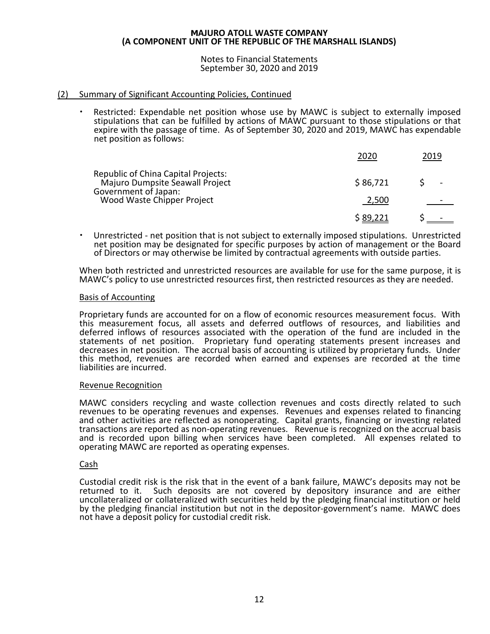Notes to Financial Statements September 30, 2020 and 2019

# (2) Summary of Significant Accounting Policies, Continued

 Restricted: Expendable net position whose use by MAWC is subject to externally imposed stipulations that can be fulfilled by actions of MAWC pursuant to those stipulations or that expire with the passage of time. As of September 30, 2020 and 2019, MAWC has expendable net position as follows:

|                                                                               | 2020            | 2019                     |
|-------------------------------------------------------------------------------|-----------------|--------------------------|
| <b>Republic of China Capital Projects:</b><br>Majuro Dumpsite Seawall Project | \$86,721        | $\overline{\phantom{a}}$ |
| Government of Japan:<br>Wood Waste Chipper Project                            | 2,500           |                          |
|                                                                               | <u>\$89,221</u> |                          |

 Unrestricted - net position that is not subject to externally imposed stipulations. Unrestricted net position may be designated for specific purposes by action of management or the Board of Directors or may otherwise be limited by contractual agreements with outside parties.

When both restricted and unrestricted resources are available for use for the same purpose, it is MAWC's policy to use unrestricted resources first, then restricted resources as they are needed.

## Basis of Accounting

Proprietary funds are accounted for on a flow of economic resources measurement focus. With this measurement focus, all assets and deferred outflows of resources, and liabilities and deferred inflows of resources associated with the operation of the fund are included in the statements of net position. Proprietary fund operating statements present increases and decreases in net position. The accrual basis of accounting is utilized by proprietary funds. Under this method, revenues are recorded when earned and expenses are recorded at the time liabilities are incurred.

## Revenue Recognition

MAWC considers recycling and waste collection revenues and costs directly related to such revenues to be operating revenues and expenses. Revenues and expenses related to financing and other activities are reflected as nonoperating. Capital grants, financing or investing related transactions are reported as non-operating revenues. Revenue is recognized on the accrual basis and is recorded upon billing when services have been completed. All expenses related to operating MAWC are reported as operating expenses.

# Cash

Custodial credit risk is the risk that in the event of a bank failure, MAWC's deposits may not be returned to it. Such deposits are not covered by depository insurance and are either uncollateralized or collateralized with securities held by the pledging financial institution or held by the pledging financial institution but not in the depositor-government's name. MAWC does not have a deposit policy for custodial credit risk.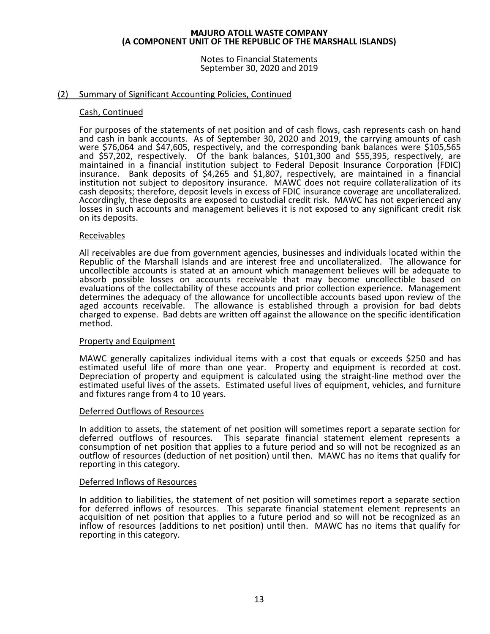Notes to Financial Statements September 30, 2020 and 2019

## (2) Summary of Significant Accounting Policies, Continued

## Cash, Continued

For purposes of the statements of net position and of cash flows, cash represents cash on hand and cash in bank accounts. As of September 30, 2020 and 2019, the carrying amounts of cash were \$76,064 and \$47,605, respectively, and the corresponding bank balances were \$105,565 and \$57,202, respectively. Of the bank balances, \$101,300 and \$55,395, respectively, are maintained in a financial institution subject to Federal Deposit Insurance Corporation (FDIC) insurance. Bank deposits of \$4,265 and \$1,807, respectively, are maintained in a financial institution not subject to depository insurance. MAWC does not require collateralization of its cash deposits; therefore, deposit levels in excess of FDIC insurance coverage are uncollateralized. Accordingly, these deposits are exposed to custodial credit risk. MAWC has not experienced any losses in such accounts and management believes it is not exposed to any significant credit risk on its deposits.

## Receivables

All receivables are due from government agencies, businesses and individuals located within the Republic of the Marshall Islands and are interest free and uncollateralized. The allowance for uncollectible accounts is stated at an amount which management believes will be adequate to absorb possible losses on accounts receivable that may become uncollectible based on evaluations of the collectability of these accounts and prior collection experience. Management determines the adequacy of the allowance for uncollectible accounts based upon review of the aged accounts receivable. The allowance is established through a provision for bad debts charged to expense. Bad debts are written off against the allowance on the specific identification method.

#### Property and Equipment

MAWC generally capitalizes individual items with a cost that equals or exceeds \$250 and has estimated useful life of more than one year. Property and equipment is recorded at cost. Depreciation of property and equipment is calculated using the straight-line method over the estimated useful lives of the assets. Estimated useful lives of equipment, vehicles, and furniture and fixtures range from 4 to 10 years.

## Deferred Outflows of Resources

In addition to assets, the statement of net position will sometimes report a separate section for deferred outflows of resources. This separate financial statement element represents a consumption of net position that applies to a future period and so will not be recognized as an outflow of resources (deduction of net position) until then. MAWC has no items that qualify for reporting in this category.

#### Deferred Inflows of Resources

In addition to liabilities, the statement of net position will sometimes report a separate section for deferred inflows of resources. This separate financial statement element represents an acquisition of net position that applies to a future period and so will not be recognized as an inflow of resources (additions to net position) until then. MAWC has no items that qualify for reporting in this category.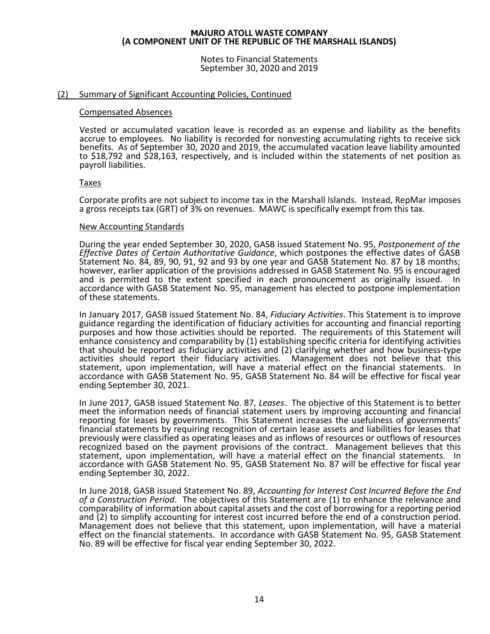Notes to Financial Statements September 30, 2020 and 2019

## (2) Summary of Significant Accounting Policies, Continued

#### Compensated Absences

Vested or accumulated vacation leave is recorded as an expense and liability as the benefits accrue to employees. No liability is recorded for nonvesting accumulating rights to receive sick to \$18,792 and \$28,163, respectively, and is included within the statements of net position as payroll liabilities.

## Taxes

Corporate profits are not subject to income tax in the Marshall Islands. Instead, RepMar imposes a gross receipts tax (GRT) of 3% on revenues. MAWC is specifically exempt from this tax.

## New Accounting Standards

During the year ended September 30, 2020, GASB issued Statement No. 95, *Postponement of the Effective Dates of Certain Authoritative Guidance*, which postpones the effective dates of GASB Statement No. 84, 89, 90, 91, 92 and 93 by one year and GASB Statement No. 87 by 18 months; however, earlier application of the provisions addressed in GASB Statement No. 95 is encouraged and is permitted to the extent specified in each pronouncement as originally issued. In accordance with GASB Statement No. 95, management has elected to postpone implementation of these statements.

In January 2017, GASB issued Statement No. 84, *Fiduciary Activities*. This Statement is to improve guidance regarding the identification of fiduciary activities for accounting and financial reporting purposes and how those activities should be reported. The requirements of this Statement will enhance consistency and comparability by (1) establishing specific criteria for identifying activities that should be reported as fiduciary activities and (2) clarifying whether and how business-type activities should report their fiduciary activities. Management does not believe that this statement, upon implementation, will have a material effect on the financial statements. In accordance with GASB Statement No. 95, GASB Statement No. 84 will be effective for fiscal year ending September 30, 2021.

In June 2017, GASB issued Statement No. 87, *Leases*. The objective of this Statement is to better meet the information needs of financial statement users by improving accounting and financial reporting for leases by governments. This Statement increases the usefulness of governments' financial statements by requiring recognition of certain lease assets and liabilities for leases that previously were classified as operating leases and as inflows of resources or outflows of resources recognized based on the payment provisions of the contract. Management believes that this statement, upon implementation, will have a material effect on the financial statements. In accordance with GASB Statement No. 95, GASB Statement No. 87 will be effective for fiscal year ending September 30, 2022.

In June 2018, GASB issued Statement No. 89, *Accounting for Interest Cost Incurred Before the End of a Construction Period*. The objectives of this Statement are (1) to enhance the relevance and comparability of information about capital assets and the cost of borrowing for a reporting period Management does not believe that this statement, upon implementation, will have a material effect on the financial statements. In accordance with GASB Statement No. 95, GASB Statement No. 89 will be effective for fiscal year ending September 30, 2022.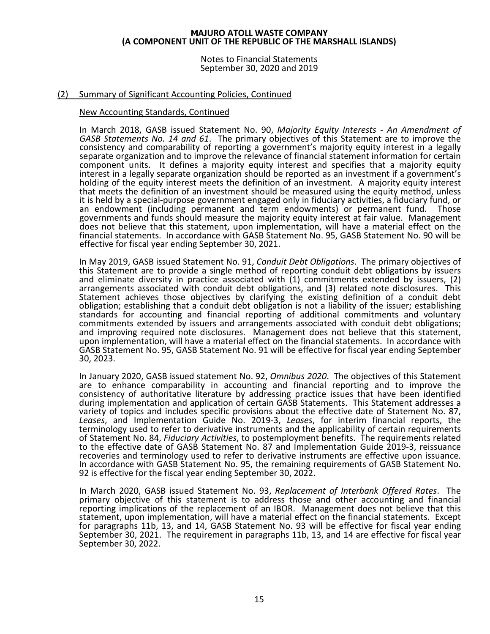Notes to Financial Statements September 30, 2020 and 2019

# (2) Summary of Significant Accounting Policies, Continued

## New Accounting Standards, Continued

In March 2018, GASB issued Statement No. 90, *Majority Equity Interests - An Amendment of GASB Statements No. 14 and 61*. The primary objectives of this Statement are to improve the consistency and comparability of reporting a government's majority equity interest in a legally separate organization and to improve the relevance of financial statement information for certain component units. It defines a majority equity interest and specifies that a majority equity interest in a legally separate organization should be reported as an investment if a government's holding of the equity interest meets the definition of an investment. A majority equity interest that meets the definition of an investment should be measured using the equity method, unless it is held by a special-purpose government engaged only in fiduciary activities, a fiduciary fund, or an endowment (including permanent and term endowments) or permanent fund. Those governments and funds should measure the majority equity interest at fair value. Management does not believe that this statement, upon implementation, will have a material effect on the financial statements. In accordance with GASB Statement No. 95, GASB Statement No. 90 will be effective for fiscal year ending September 30, 2021.

In May 2019, GASB issued Statement No. 91, *Conduit Debt Obligations*. The primary objectives of this Statement are to provide a single method of reporting conduit debt obligations by issuers and eliminate diversity in practice associated with (1) commitments extended by issuers, (2) arrangements associated with conduit debt obligations, and (3) related note disclosures. This Statement achieves those objectives by clarifying the existing definition of a conduit debt obligation; establishing that a conduit debt obligation is not a liability of the issuer; establishing standards for accounting and financial reporting of additional commitments and voluntary commitments extended by issuers and arrangements associated with conduit debt obligations;<br>and improving required note disclosures. Management does not believe that this statement, upon implementation, will have a material effect on the financial statements. In accordance with GASB Statement No. 95, GASB Statement No. 91 will be effective for fiscal year ending September 30, 2023.

In January 2020, GASB issued statement No. 92, *Omnibus 2020*. The objectives of this Statement are to enhance comparability in accounting and financial reporting and to improve the consistency of authoritative literature by addressing practice issues that have been identified during implementation and application of certain GASB Statements. This Statement addresses a variety of topics and includes specific provisions about the effective date of Statement No. 87, *Leases*, and Implementation Guide No. 2019-3, *Leases*, for interim financial reports, the terminology used to refer to derivative instruments and the applicability of certain requirements of Statement No. 84, *Fiduciary Activities*, to postemployment benefits. The requirements related to the effective date of GASB Statement No. 87 and Implementation Guide 2019-3, reissuance recoveries and terminology used to refer to derivative instruments are effective upon issuance. In accordance with GASB Statement No. 95, the remaining requirements of GASB Statement No. 92 is effective for the fiscal year ending September 30, 2022.

In March 2020, GASB issued Statement No. 93, *Replacement of Interbank Offered Rates*. The primary objective of this statement is to address those and other accounting and financial reporting implications of the replacement of an IBOR. Management does not believe that this statement, upon implementation, will have a material effect on the financial statements. Except for paragraphs 11b, 13, and 14, GASB Statement No. 93 will be effective for fiscal year ending September 30, 2021. The requirement in paragraphs 11b, 13, and 14 are effective for fiscal year September 30, 2022.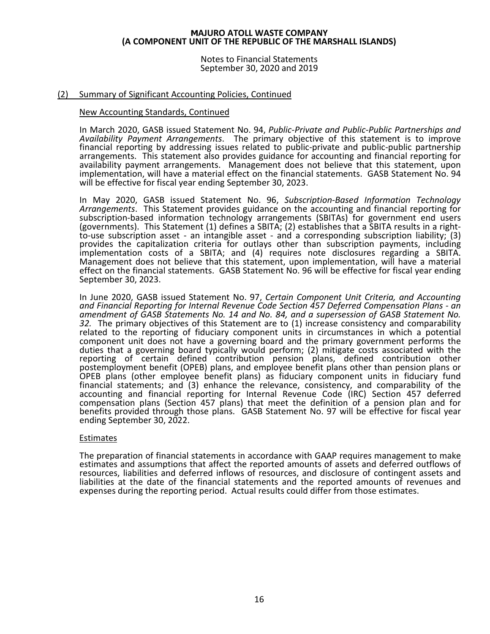Notes to Financial Statements September 30, 2020 and 2019

# (2) Summary of Significant Accounting Policies, Continued

## New Accounting Standards, Continued

In March 2020, GASB issued Statement No. 94, *Public-Private and Public-Public Partnerships and Availability Payment Arrangements*. The primary objective of this statement is to improve financial reporting by addressing issues related to public-private and public-public partnership arrangements. This statement also provides guidance for accounting and financial reporting for availability payment arrangements. Management does not believe that this statement, upon implementation, will have a material effect on the financial statements. GASB Statement No. 94 will be effective for fiscal year ending September 30, 2023.

In May 2020, GASB issued Statement No. 96, *Subscription-Based Information Technology Arrangements*. This Statement provides guidance on the accounting and financial reporting for subscription-based information technology arrangements (SBITAs) for government end users (governments). This Statement (1) defines a SBITA; (2) establishes that a SBITA results in a right- $\overline{10}$ -use subscription asset - an intangible asset - and a corresponding subscription liability; (3) provides the capitalization criteria for outlays other than subscription payments, including<br>implementation costs of a SBITA; and (4) requires note disclosures regarding a SBITA. Management does not believe that this statement, upon implementation, will have a material effect on the financial statements. GASB Statement No. 96 will be effective for fiscal year ending September 30, 2023.

In June 2020, GASB issued Statement No. 97, *Certain Component Unit Criteria, and Accounting and Financial Reporting for Internal Revenue Code Section 457 Deferred Compensation Plans - an amendment of GASB Statements No. 14 and No. 84, and a supersession of GASB Statement No. 32.* The primary objectives of this Statement are to (1) increase consistency and comparability related to the reporting of fiduciary component units in circumstances in which a potential component unit does not have a governing board and the primary government performs the duties that a governing board typically would perform; (2) mitigate costs associated with the reporting of certain defined contribution pension plans, defined contribution other postemployment benefit (OPEB) plans, and employee benefit plans other than pension plans or OPEB plans (other employee benefit plans) as fiduciary component units in fiduciary fund financial statements; and (3) enhance the relevance, consistency, and comparability of the accounting and financial reporting for Internal Revenue Code (IRC) Section 457 deferred compensation plans (Section 457 plans) that meet the definition of a pension plan and for benefits provided through those plans. GASB Statement No. 97 will be effective for fiscal year ending September 30, 2022.

## Estimates

The preparation of financial statements in accordance with GAAP requires management to make estimates and assumptions that affect the reported amounts of assets and deferred outflows of resources, liabilities and deferred inflows of resources, and disclosure of contingent assets and liabilities at the date of the financial statements and the reported amounts of revenues and expenses during the reporting period. Actual results could differ from those estimates.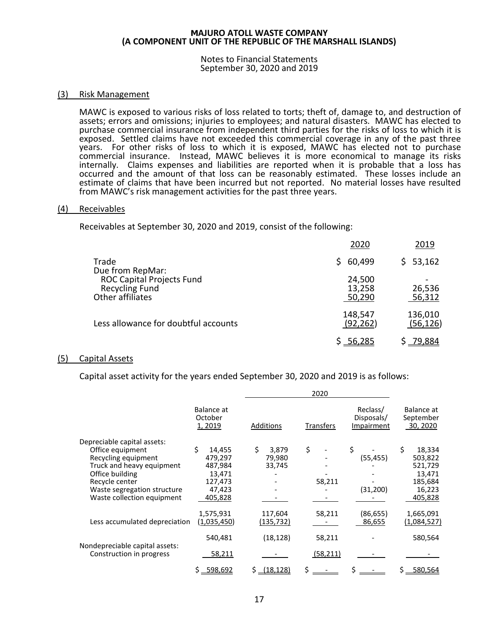Notes to Financial Statements September 30, 2020 and 2019

## (3) Risk Management

MAWC is exposed to various risks of loss related to torts; theft of, damage to, and destruction of assets; errors and omissions; injuries to employees; and natural disasters. MAWC has elected to purchase commercial insurance from independent third parties for the risks of loss to which it is exposed. Settled claims have not exceeded this commercial coverage in any of the past three years. For other risks of loss to which it is exposed, MAWC has elected not to purchase commercial insurance. Instead, MAWC believes it is more economical to manage its risks internally. Claims expenses and liabilities are reported when it is probable that a loss has occurred and the amount of that loss can be reasonably estimated. These losses include an estimate of claims that have been incurred but not reported. No material losses have resulted from MAWC's risk management activities for the past three years.

## (4) Receivables

Receivables at September 30, 2020 and 2019, consist of the following:

|                                                                               | 2020                       | 2019                 |
|-------------------------------------------------------------------------------|----------------------------|----------------------|
| Trade<br>Due from RepMar:                                                     | 60,499<br>S.               | \$53,162             |
| <b>ROC Capital Projects Fund</b><br><b>Recycling Fund</b><br>Other affiliates | 24,500<br>13,258<br>50,290 | 26,536<br>56,312     |
| Less allowance for doubtful accounts                                          | 148,547<br>(92, 262)       | 136,010<br>(56, 126) |
|                                                                               | \$ 56,285                  | 79,884               |

# (5) Capital Assets

Capital asset activity for the years ended September 30, 2020 and 2019 is as follows:

|                                                                                                                                                                                                       |                                                                              |                                 | 2020         |                                      |                                                                              |
|-------------------------------------------------------------------------------------------------------------------------------------------------------------------------------------------------------|------------------------------------------------------------------------------|---------------------------------|--------------|--------------------------------------|------------------------------------------------------------------------------|
|                                                                                                                                                                                                       | Balance at<br>October<br>1, 2019                                             | Additions                       | Transfers    | Reclass/<br>Disposals/<br>Impairment | Balance at<br>September<br>30, 2020                                          |
| Depreciable capital assets:<br>Office equipment<br>Recycling equipment<br>Truck and heavy equipment<br>Office building<br>Recycle center<br>Waste segregation structure<br>Waste collection equipment | Ś.<br>14,455<br>479,297<br>487,984<br>13,471<br>127,473<br>47,423<br>405,828 | Ś.<br>3,879<br>79,980<br>33,745 | \$<br>58,211 | \$<br>(55, 455)<br>(31, 200)         | \$<br>18,334<br>503,822<br>521,729<br>13,471<br>185,684<br>16,223<br>405,828 |
| Less accumulated depreciation                                                                                                                                                                         | 1,575,931<br>(1,035,450)                                                     | 117,604<br>(135, 732)           | 58,211       | (86, 655)<br>86,655                  | 1,665,091<br>(1,084,527)                                                     |
|                                                                                                                                                                                                       | 540,481                                                                      | (18, 128)                       | 58,211       |                                      | 580,564                                                                      |
| Nondepreciable capital assets:<br>Construction in progress                                                                                                                                            | <u>58,211</u>                                                                |                                 | (58, 211)    |                                      |                                                                              |
|                                                                                                                                                                                                       | 598,692                                                                      | (18, 128)                       |              |                                      | 580,564                                                                      |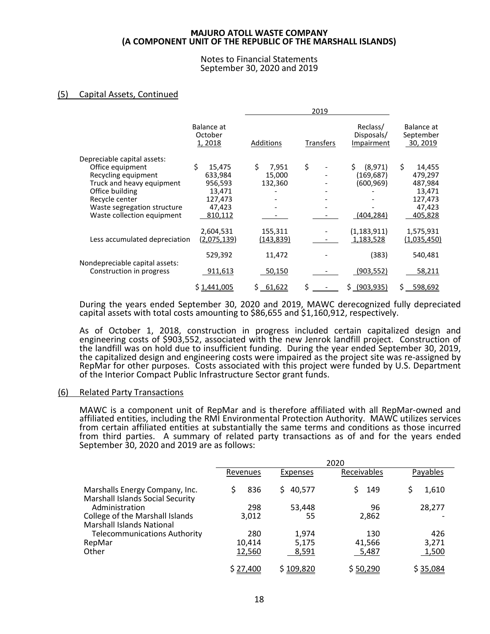Notes to Financial Statements September 30, 2020 and 2019

# (5) Capital Assets, Continued

|                                                                                                                                                                                                       |                                                                              |                                  | 2019      |                                                       |                                                                              |
|-------------------------------------------------------------------------------------------------------------------------------------------------------------------------------------------------------|------------------------------------------------------------------------------|----------------------------------|-----------|-------------------------------------------------------|------------------------------------------------------------------------------|
|                                                                                                                                                                                                       | Balance at<br>October<br>1, 2018                                             | Additions                        | Transfers | Reclass/<br>Disposals/<br>Impairment                  | Balance at<br>September<br>30, 2019                                          |
| Depreciable capital assets:<br>Office equipment<br>Recycling equipment<br>Truck and heavy equipment<br>Office building<br>Recycle center<br>Waste segregation structure<br>Waste collection equipment | Ś.<br>15,475<br>633,984<br>956,593<br>13,471<br>127,473<br>47,423<br>810,112 | Ś.<br>7,951<br>15,000<br>132,360 | \$        | Ś.<br>(8,971)<br>(169,687)<br>(600,969)<br>(404, 284) | Ś.<br>14,455<br>479,297<br>487,984<br>13,471<br>127,473<br>47,423<br>405,828 |
| Less accumulated depreciation                                                                                                                                                                         | 2,604,531<br>(2,075,139)                                                     | 155,311<br>(143, 839)            |           | (1, 183, 911)<br>1,183,528                            | 1,575,931<br>(1,035,450)                                                     |
|                                                                                                                                                                                                       | 529,392                                                                      | 11,472                           |           | (383)                                                 | 540,481                                                                      |
| Nondepreciable capital assets:<br>Construction in progress                                                                                                                                            | 911,613                                                                      | 50,150                           |           | (903, 552)                                            | 58,211                                                                       |
|                                                                                                                                                                                                       | \$ 1,441,005                                                                 | \$61,622                         | Ś         | (903, 935)<br>S.                                      | Ś.<br>598,692                                                                |

During the years ended September 30, 2020 and 2019, MAWC derecognized fully depreciated capital assets with total costs amounting to \$86,655 and \$1,160,912, respectively.

As of October 1, 2018, construction in progress included certain capitalized design and engineering costs of \$903,552, associated with the new Jenrok landfill project. Construction of the landfill was on hold due to insufficient funding. During the year ended September 30, 2019, the capitalized design and engineering costs were impaired as the project site was re-assigned by RepMar for other purposes. Costs associated with this project were funded by U.S. Department of the Interior Compact Public Infrastructure Sector grant funds.

## (6) Related Party Transactions

MAWC is a component unit of RepMar and is therefore affiliated with all RepMar-owned and affiliated entities, including the RMI Environmental Protection Authority. MAWC utilizes services from certain affiliated entities at substantially the same terms and conditions as those incurred from third parties. A summary of related party transactions as of and for the years ended September 30, 2020 and 2019 are as follows:

|                                                                     | 2020             |                |                 |                |
|---------------------------------------------------------------------|------------------|----------------|-----------------|----------------|
|                                                                     | Revenues         | Expenses       | Receivables     | Payables       |
| Marshalls Energy Company, Inc.<br>Marshall Islands Social Security  | S<br>836         | 40,577<br>S.   | 149             | \$<br>1,610    |
| Administration                                                      | 298              | 53,448         | 96              | 28,277         |
| College of the Marshall Islands<br><b>Marshall Islands National</b> | 3,012            | 55             | 2,862           |                |
| <b>Telecommunications Authority</b>                                 | 280              | 1,974          | 130             | 426            |
| RepMar<br>Other                                                     | 10,414<br>12,560 | 5,175<br>8,591 | 41,566<br>5,487 | 3,271<br>1,500 |
|                                                                     | \$27,400         | \$109,820      | \$50,290        | \$35,084       |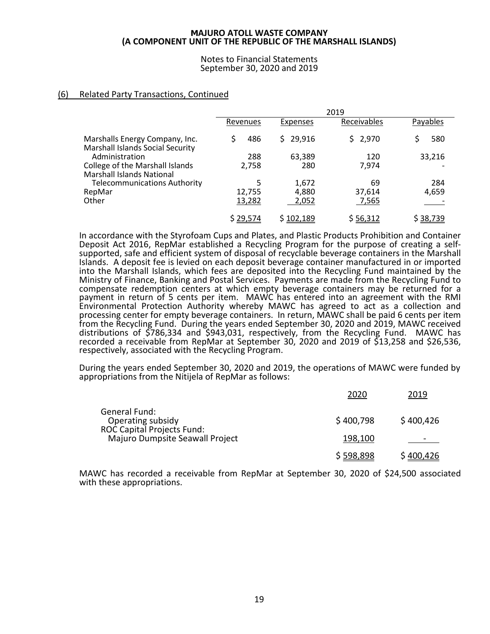Notes to Financial Statements September 30, 2020 and 2019

# (6) Related Party Transactions, Continued

|                                                                     | 2019     |              |             |                 |
|---------------------------------------------------------------------|----------|--------------|-------------|-----------------|
|                                                                     | Revenues | Expenses     | Receivables | Payables        |
| Marshalls Energy Company, Inc.<br>Marshall Islands Social Security  | 486      | 29,916<br>Ś. | \$2,970     | 580             |
| Administration                                                      | 288      | 63,389       | 120         | 33,216          |
| College of the Marshall Islands<br><b>Marshall Islands National</b> | 2,758    | 280          | 7,974       |                 |
| <b>Telecommunications Authority</b>                                 |          | 1,672        | 69          | 284             |
| RepMar                                                              | 12,755   | 4,880        | 37,614      | 4,659           |
| Other                                                               | 13,282   | 2,052        | 7,565       |                 |
|                                                                     | \$29,574 | \$102,189    | \$56,312    | <u>\$38,739</u> |

In accordance with the Styrofoam Cups and Plates, and Plastic Products Prohibition and Container<br>Deposit Act 2016, RepMar established a Recycling Program for the purpose of creating a selfsupported, safe and efficient system of disposal of recyclable beverage containers in the Marshall Islands. A deposit fee is levied on each deposit beverage container manufactured in or imported into the Marshall Islands, which fees are deposited into the Recycling Fund maintained by the Ministry of Finance, Banking and Postal Services. Payments are made from the Recycling Fund to compensate redemption centers at which empty beverage containers may be returned for a payment in return of 5 cents per item. MAWC has entered into an agreement with the RMI Environmental Protection Authority whereby MAWC has agreed to act as a collection and processing center for empty beverage containers. In return, MAWC shall be paid 6 cents per item from the Recycling Fund. During the years ended September 30, 2020 and 2019, MAWC received distributions of \$786,334 and \$943,031, respectively, from the Recycling Fund. MAWC has recorded a receivable from RepMar at September 30, 2020 and 2019 of \$13,258 and \$26,536, respectively, associated with the Recycling Program.

During the years ended September 30, 2020 and 2019, the operations of MAWC were funded by appropriations from the Nitijela of RepMar as follows:

|                                                                      | 2020      | 2019            |
|----------------------------------------------------------------------|-----------|-----------------|
| General Fund:<br>Operating subsidy                                   | \$400,798 | \$400,426       |
| ROC Capital Projects Fund:<br><b>Majuro Dumpsite Seawall Project</b> | 198,100   | $\qquad \qquad$ |
|                                                                      | \$598,898 | \$ 400,426      |

MAWC has recorded a receivable from RepMar at September 30, 2020 of \$24,500 associated with these appropriations.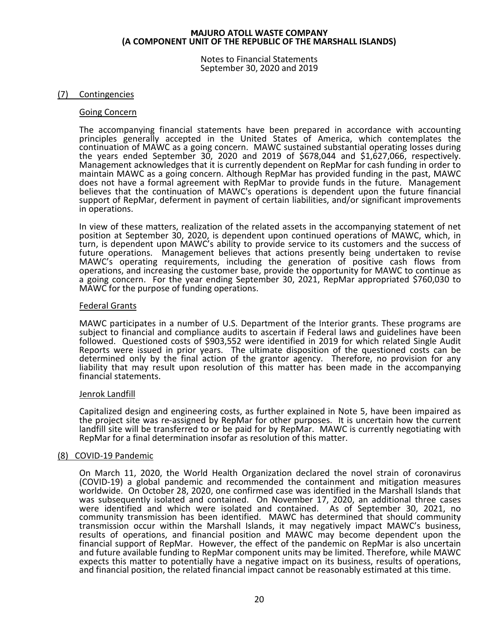Notes to Financial Statements September 30, 2020 and 2019

## (7) Contingencies

#### Going Concern

The accompanying financial statements have been prepared in accordance with accounting principles generally accepted in the United States of America, which contemplates the continuation of MAWC as a going concern. MAWC sustained substantial operating losses during the years ended September 30, 2020 and 2019 of \$678,044 and \$1,627,066, respectively. Management acknowledges that it is currently dependent on RepMar for cash funding in order to maintain MAWC as a going concern. Although RepMar has provided funding in the past, MAWC does not have a formal agreement with RepMar to provide funds in the future. Management believes that the continuation of MAWC's operations is dependent upon the future financial support of RepMar, deferment in payment of certain liabilities, and/or significant improvements in operations.

In view of these matters, realization of the related assets in the accompanying statement of net position at September 30, 2020, is dependent upon continued operations of MAWC, which, in turn, is dependent upon MAWC's ability to provide service to its customers and the success of future operations. Management believes that actions presently being undertaken to revise MAWC's operating requirements, including the generation of positive cash flows from operations, and increasing the customer base, provide the opportunity for MAWC to continue as a going concern. For the year ending September 30, 2021, RepMar appropriated \$760,030 to MAWC for the purpose of funding operations.

## Federal Grants

MAWC participates in a number of U.S. Department of the Interior grants. These programs are subject to financial and compliance audits to ascertain if Federal laws and guidelines have been followed. Questioned costs of \$903,552 were identified in 2019 for which related Single Audit Reports were issued in prior years. The ultimate disposition of the questioned costs can be determined only by the final action of the grantor agency. Therefore, no provision for any liability that may result upon resolution of this matter has been made in the accompanying financial statements.

## Jenrok Landfill

Capitalized design and engineering costs, as further explained in Note 5, have been impaired as the project site was re-assigned by RepMar for other purposes. It is uncertain how the current landfill site will be transferred to or be paid for by RepMar. MAWC is currently negotiating with RepMar for a final determination insofar as resolution of this matter.

## (8) COVID-19 Pandemic

On March 11, 2020, the World Health Organization declared the novel strain of coronavirus (COVID-19) a global pandemic and recommended the containment and mitigation measures worldwide. On October 28, 2020, one confirmed case was identified in the Marshall Islands that was subsequently isolated and contained. On November 17, 2020, an additional three cases were identified and which were isolated and contained. As of September 30, 2021, no community transmission has been identified. MAWC has determined that should community transmission occur within the Marshall Islands, it may negatively impact MAWC's business, results of operations, and financial position and MAWC may become dependent upon the financial support of RepMar. However, the effect of the pandemic on RepMar is also uncertain and future available funding to RepMar component units may be limited. Therefore, while MAWC expects this matter to potentially have a negative impact on its business, results of operations, and financial position, the related financial impact cannot be reasonably estimated at this time.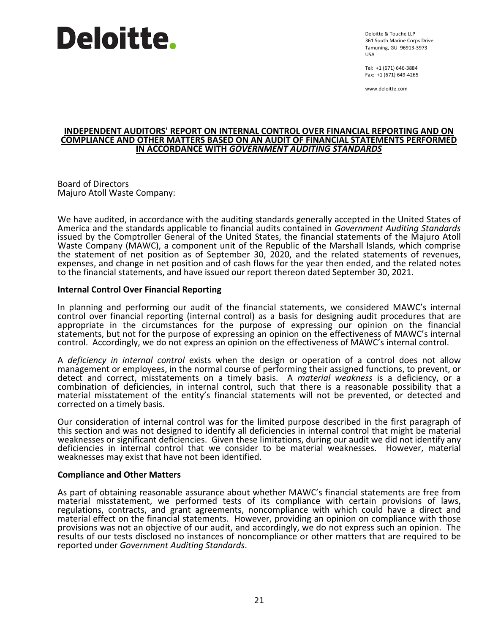

Deloitte & Touche LLP 361 South Marine Corps Drive Tamuning, GU 96913-3973 USA

Tel: +1 (671) 646-3884 Fax: +1 (671) 649-4265

www.deloitte.com

#### **INDEPENDENT AUDITORS' REPORT ON INTERNAL CONTROL OVER FINANCIAL REPORTING AND ON COMPLIANCE AND OTHER MATTERS BASED ON AN AUDIT OF FINANCIAL STATEMENTS PERFORMED IN ACCORDANCE WITH** *GOVERNMENT AUDITING STANDARDS*

Board of Directors Majuro Atoll Waste Company:

We have audited, in accordance with the auditing standards generally accepted in the United States of America and the standards applicable to financial audits contained in *Government Auditing Standards* issued by the Comptroller General of the United States, the financial statements of the Majuro Atoll Waste Company (MAWC), a component unit of the Republic of the Marshall Islands, which comprise the statement of net position as of September 30, 2020, and the related statements of revenues, expenses, and change in net position and of cash flows for the year then ended, and the related notes to the financial statements, and have issued our report thereon dated September 30, 2021.

# **Internal Control Over Financial Reporting**

In planning and performing our audit of the financial statements, we considered MAWC's internal control over financial reporting (internal control) as a basis for designing audit procedures that are appropriate in the circumstances for the purpose of expressing our opinion on the financial statements, but not for the purpose of expressing an opinion on the effectiveness of MAWC's internal control. Accordingly, we do not express an opinion on the effectiveness of MAWC's internal control.

A *deficiency in internal control* exists when the design or operation of a control does not allow management or employees, in the normal course of performing their assigned functions, to prevent, or detect and correct, misstatements on a timely basis. A *material weakness* is a deficiency, or a combination of deficiencies, in internal control, such that there is a reasonable possibility that a material misstatement of the entity's financial statements will not be prevented, or detected and corrected on a timely basis.

Our consideration of internal control was for the limited purpose described in the first paragraph of this section and was not designed to identify all deficiencies in internal control that might be material weaknesses or significant deficiencies. Given these limitations, during our audit we did not identify any deficiencies in internal control that we consider to be material weaknesses. However, material weaknesses may exist that have not been identified.

## **Compliance and Other Matters**

As part of obtaining reasonable assurance about whether MAWC's financial statements are free from material misstatement, we performed tests of its compliance with certain provisions of laws, regulations, contracts, and grant agreements, noncompliance with which could have a direct and material effect on the financial statements. However, providing an opinion on compliance with those provisions was not an objective of our audit, and accordingly, we do not express such an opinion. The results of our tests disclosed no instances of noncompliance or other matters that are required to be reported under *Government Auditing Standards*.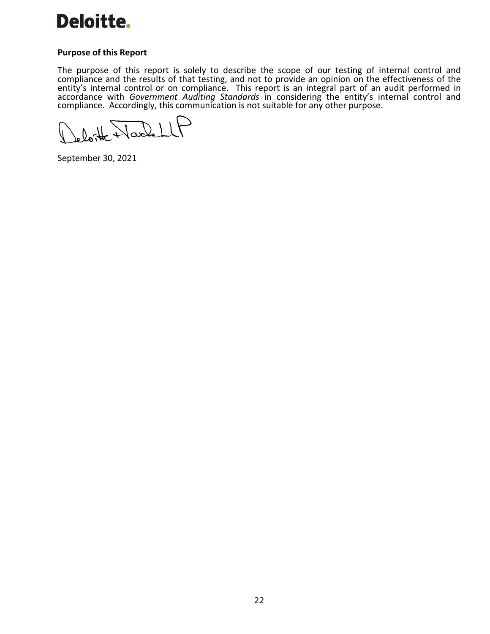

# **Purpose of this Report**

The purpose of this report is solely to describe the scope of our testing of internal control and compliance and the results of that testing, and not to provide an opinion on the effectiveness of the entity's internal control or on compliance. This report is an integral part of an audit performed in accordance with *Government Auditing Standards* in considering the entity's internal control and compliance. Accordingly, this communication is not suitable for any other purpose.

Varke  $+$  11

September 30, 2021